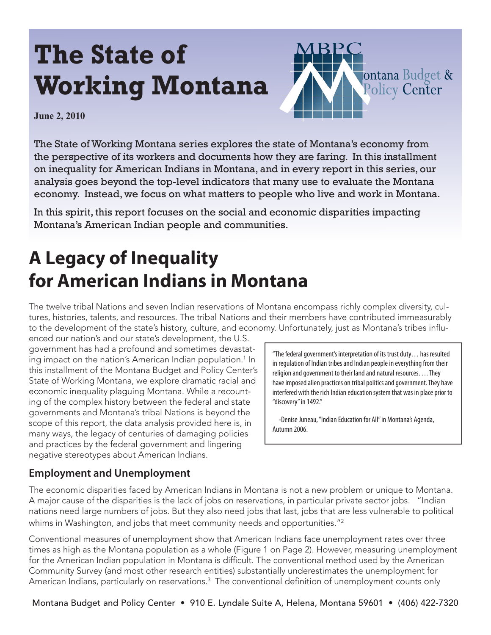# **The State of Working Montana**



**June 2, 2010**

The State of Working Montana series explores the state of Montana's economy from the perspective of its workers and documents how they are faring. In this installment on inequality for American Indians in Montana, and in every report in this series, our analysis goes beyond the top-level indicators that many use to evaluate the Montana economy. Instead, we focus on what matters to people who live and work in Montana.

In this spirit, this report focuses on the social and economic disparities impacting Montana's American Indian people and communities.

# **A Legacy of Inequality for American Indians in Montana**

The twelve tribal Nations and seven Indian reservations of Montana encompass richly complex diversity, cultures, histories, talents, and resources. The tribal Nations and their members have contributed immeasurably to the development of the state's history, culture, and economy. Unfortunately, just as Montana's tribes influ-

enced our nation's and our state's development, the U.S. government has had a profound and sometimes devastating impact on the nation's American Indian population. $1$  In this installment of the Montana Budget and Policy Center's State of Working Montana, we explore dramatic racial and economic inequality plaguing Montana. While a recounting of the complex history between the federal and state governments and Montana's tribal Nations is beyond the scope of this report, the data analysis provided here is, in many ways, the legacy of centuries of damaging policies and practices by the federal government and lingering negative stereotypes about American Indians.

"The federal government's interpretation of its trust duty… has resulted in regulation of Indian tribes and Indian people in everything from their religion and government to their land and natural resources…. They have imposed alien practices on tribal politics and government. They have interfered with the rich Indian education system that was in place prior to "discovery" in 1492."

 -Denise Juneau, "Indian Education for All" in Montana's Agenda, Autumn 2006.

#### **Employment and Unemployment**

The economic disparities faced by American Indians in Montana is not a new problem or unique to Montana. A major cause of the disparities is the lack of jobs on reservations, in particular private sector jobs. "Indian nations need large numbers of jobs. But they also need jobs that last, jobs that are less vulnerable to political whims in Washington, and jobs that meet community needs and opportunities."<sup>2</sup>

Conventional measures of unemployment show that American Indians face unemployment rates over three times as high as the Montana population as a whole (Figure 1 on Page 2). However, measuring unemployment for the American Indian population in Montana is difficult. The conventional method used by the American Community Survey (and most other research entities) substantially underestimates the unemployment for American Indians, particularly on reservations. $^3\,$  The conventional definition of unemployment counts only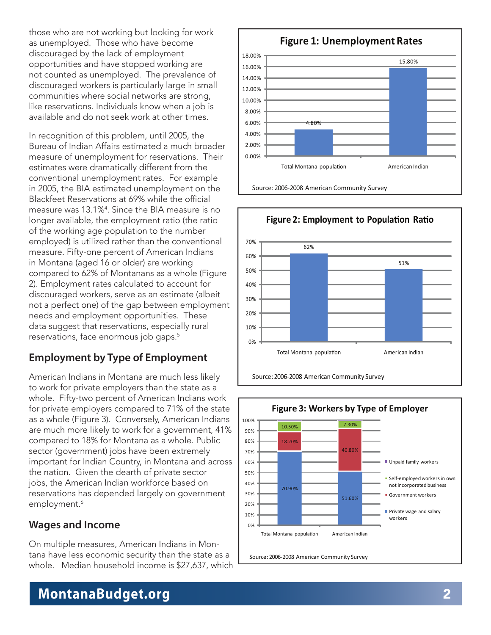those who are not working but looking for work as unemployed. Those who have become discouraged by the lack of employment opportunities and have stopped working are not counted as unemployed. The prevalence of discouraged workers is particularly large in small communities where social networks are strong, like reservations. Individuals know when a job is available and do not seek work at other times.

In recognition of this problem, until 2005, the Bureau of Indian Affairs estimated a much broader measure of unemployment for reservations. Their estimates were dramatically different from the conventional unemployment rates. For example in 2005, the BIA estimated unemployment on the Blackfeet Reservations at 69% while the official measure was 13.1%4 . Since the BIA measure is no longer available, the employment ratio (the ratio of the working age population to the number employed) is utilized rather than the conventional measure. Fifty-one percent of American Indians in Montana (aged 16 or older) are working compared to 62% of Montanans as a whole (Figure 2). Employment rates calculated to account for discouraged workers, serve as an estimate (albeit not a perfect one) of the gap between employment needs and employment opportunities. These data suggest that reservations, especially rural reservations, face enormous job gaps.5

#### **Employment by Type of Employment**

American Indians in Montana are much less likely to work for private employers than the state as a whole. Fifty-two percent of American Indians work for private employers compared to 71% of the state as a whole (Figure 3). Conversely, American Indians are much more likely to work for a government, 41% compared to 18% for Montana as a whole. Public sector (government) jobs have been extremely important for Indian Country, in Montana and across the nation. Given the dearth of private sector jobs, the American Indian workforce based on reservations has depended largely on government employment.<sup>6</sup>

#### **Wages and Income**

On multiple measures, American Indians in Montana have less economic security than the state as a whole. Median household income is \$27,637, which







### **MontanaBudget.org**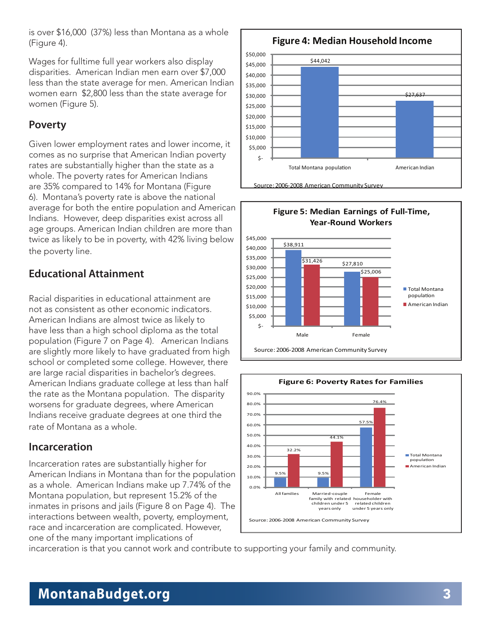is over \$16,000 (37%) less than Montana as a whole (Figure 4).

Wages for fulltime full year workers also display disparities. American Indian men earn over \$7,000 less than the state average for men. American Indian women earn \$2,800 less than the state average for women (Figure 5).

#### **Poverty**

Given lower employment rates and lower income, it comes as no surprise that American Indian poverty rates are substantially higher than the state as a whole. The poverty rates for American Indians are 35% compared to 14% for Montana (Figure 6). Montana's poverty rate is above the national average for both the entire population and American Indians. However, deep disparities exist across all age groups. American Indian children are more than twice as likely to be in poverty, with 42% living below the poverty line.

#### **Educational Attainment**

Racial disparities in educational attainment are not as consistent as other economic indicators. American Indians are almost twice as likely to have less than a high school diploma as the total population (Figure 7 on Page 4). American Indians are slightly more likely to have graduated from high school or completed some college. However, there are large racial disparities in bachelor's degrees. American Indians graduate college at less than half the rate as the Montana population. The disparity worsens for graduate degrees, where American Indians receive graduate degrees at one third the rate of Montana as a whole.

#### **Incarceration**

Incarceration rates are substantially higher for American Indians in Montana than for the population as a whole. American Indians make up 7.74% of the Montana population, but represent 15.2% of the inmates in prisons and jails (Figure 8 on Page 4). The interactions between wealth, poverty, employment, race and incarceration are complicated. However, one of the many important implications of





**Figure 5: Median Earnings of Full-Time,**



incarceration is that you cannot work and contribute to supporting your family and community.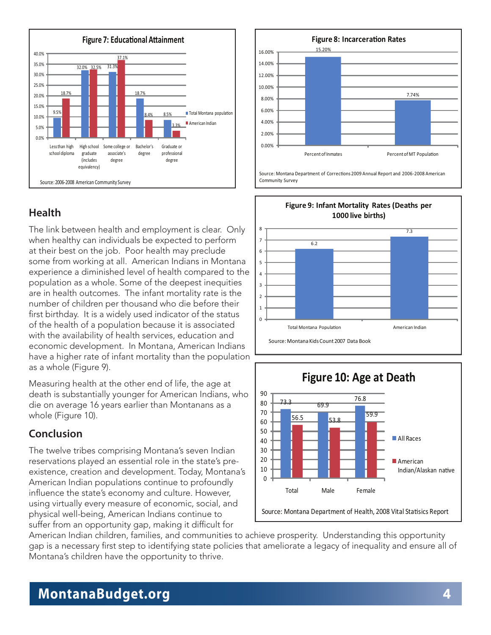

#### **Health**

The link between health and employment is clear. Only when healthy can individuals be expected to perform at their best on the job. Poor health may preclude some from working at all. American Indians in Montana experience a diminished level of health compared to the population as a whole. Some of the deepest inequities are in health outcomes. The infant mortality rate is the number of children per thousand who die before their first birthday. It is a widely used indicator of the status of the health of a population because it is associated with the availability of health services, education and economic development. In Montana, American Indians have a higher rate of infant mortality than the population as a whole (Figure 9).

Measuring health at the other end of life, the age at death is substantially younger for American Indians, who die on average 16 years earlier than Montanans as a whole (Figure 10).

#### **Conclusion**

The twelve tribes comprising Montana's seven Indian reservations played an essential role in the state's preexistence, creation and development. Today, Montana's American Indian populations continue to profoundly influence the state's economy and culture. However, using virtually every measure of economic, social, and physical well-being, American Indians continue to suffer from an opportunity gap, making it difficult for



Source: Montana Department of Corrections 2009 Annual Report and 2006-2008 American Community Survey





American Indian children, families, and communities to achieve prosperity. Understanding this opportunity gap is a necessary first step to identifying state policies that ameliorate a legacy of inequality and ensure all of Montana's children have the opportunity to thrive.

### **MontanaBudget.org** 4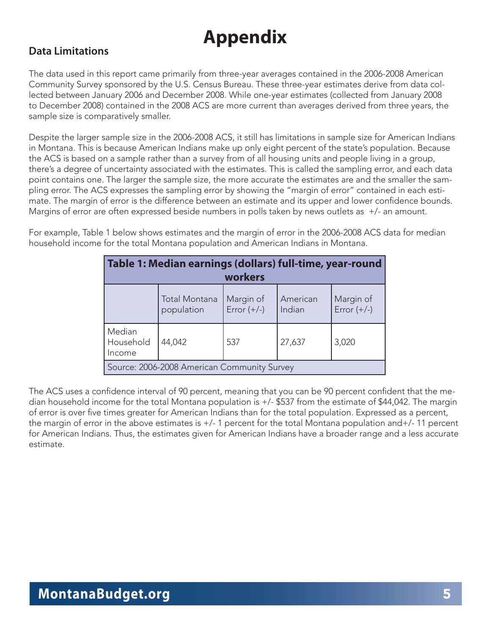## **Appendix**

#### **Data Limitations**

The data used in this report came primarily from three-year averages contained in the 2006-2008 American Community Survey sponsored by the U.S. Census Bureau. These three-year estimates derive from data collected between January 2006 and December 2008. While one-year estimates (collected from January 2008 to December 2008) contained in the 2008 ACS are more current than averages derived from three years, the sample size is comparatively smaller.

Despite the larger sample size in the 2006-2008 ACS, it still has limitations in sample size for American Indians in Montana. This is because American Indians make up only eight percent of the state's population. Because the ACS is based on a sample rather than a survey from of all housing units and people living in a group, there's a degree of uncertainty associated with the estimates. This is called the sampling error, and each data point contains one. The larger the sample size, the more accurate the estimates are and the smaller the sampling error. The ACS expresses the sampling error by showing the "margin of error" contained in each estimate. The margin of error is the difference between an estimate and its upper and lower confidence bounds. Margins of error are often expressed beside numbers in polls taken by news outlets as +/- an amount.

For example, Table 1 below shows estimates and the margin of error in the 2006-2008 ACS data for median household income for the total Montana population and American Indians in Montana.

| Table 1: Median earnings (dollars) full-time, year-round |                                    |                            |                    |                            |
|----------------------------------------------------------|------------------------------------|----------------------------|--------------------|----------------------------|
| workers                                                  |                                    |                            |                    |                            |
|                                                          | <b>Total Montana</b><br>population | Margin of<br>Error $(+/-)$ | American<br>Indian | Margin of<br>Error $(+/-)$ |
| Median<br>Household<br>Income                            | 44,042                             | 537                        | 27,637             | 3,020                      |
| Source: 2006-2008 American Community Survey              |                                    |                            |                    |                            |

The ACS uses a confidence interval of 90 percent, meaning that you can be 90 percent confident that the median household income for the total Montana population is +/- \$537 from the estimate of \$44,042. The margin of error is over five times greater for American Indians than for the total population. Expressed as a percent, the margin of error in the above estimates is +/- 1 percent for the total Montana population and+/- 11 percent for American Indians. Thus, the estimates given for American Indians have a broader range and a less accurate estimate.